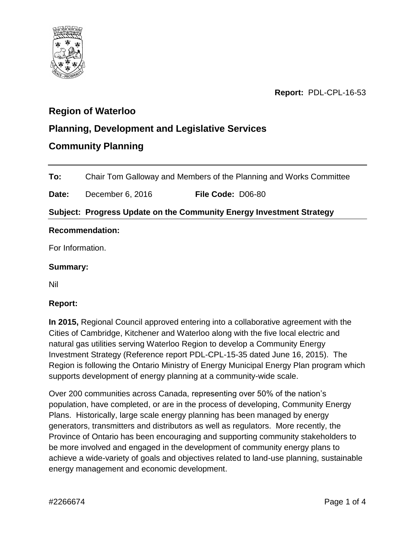

**Report:** PDL-CPL-16-53

# **Region of Waterloo**

## **Planning, Development and Legislative Services**

## **Community Planning**

**To:** Chair Tom Galloway and Members of the Planning and Works Committee

**Date:** December 6, 2016 **File Code:** D06-80

### **Subject: Progress Update on the Community Energy Investment Strategy**

#### **Recommendation:**

For Information.

#### **Summary:**

Nil

### **Report:**

**In 2015,** Regional Council approved entering into a collaborative agreement with the Cities of Cambridge, Kitchener and Waterloo along with the five local electric and natural gas utilities serving Waterloo Region to develop a Community Energy Investment Strategy (Reference report PDL-CPL-15-35 dated June 16, 2015). The Region is following the Ontario Ministry of Energy Municipal Energy Plan program which supports development of energy planning at a community-wide scale.

Over 200 communities across Canada, representing over 50% of the nation's population, have completed, or are in the process of developing, Community Energy Plans. Historically, large scale energy planning has been managed by energy generators, transmitters and distributors as well as regulators. More recently, the Province of Ontario has been encouraging and supporting community stakeholders to be more involved and engaged in the development of community energy plans to achieve a wide-variety of goals and objectives related to land-use planning, sustainable energy management and economic development.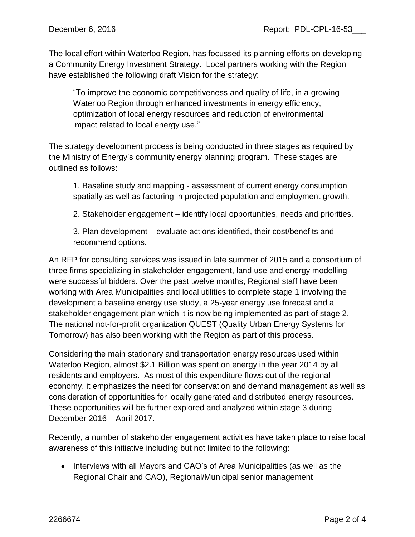The local effort within Waterloo Region, has focussed its planning efforts on developing a Community Energy Investment Strategy. Local partners working with the Region have established the following draft Vision for the strategy:

"To improve the economic competitiveness and quality of life, in a growing Waterloo Region through enhanced investments in energy efficiency, optimization of local energy resources and reduction of environmental impact related to local energy use."

The strategy development process is being conducted in three stages as required by the Ministry of Energy's community energy planning program. These stages are outlined as follows:

1. Baseline study and mapping - assessment of current energy consumption spatially as well as factoring in projected population and employment growth.

2. Stakeholder engagement – identify local opportunities, needs and priorities.

3. Plan development – evaluate actions identified, their cost/benefits and recommend options.

An RFP for consulting services was issued in late summer of 2015 and a consortium of three firms specializing in stakeholder engagement, land use and energy modelling were successful bidders. Over the past twelve months, Regional staff have been working with Area Municipalities and local utilities to complete stage 1 involving the development a baseline energy use study, a 25-year energy use forecast and a stakeholder engagement plan which it is now being implemented as part of stage 2. The national not-for-profit organization QUEST (Quality Urban Energy Systems for Tomorrow) has also been working with the Region as part of this process.

Considering the main stationary and transportation energy resources used within Waterloo Region, almost \$2.1 Billion was spent on energy in the year 2014 by all residents and employers. As most of this expenditure flows out of the regional economy, it emphasizes the need for conservation and demand management as well as consideration of opportunities for locally generated and distributed energy resources. These opportunities will be further explored and analyzed within stage 3 during December 2016 – April 2017.

Recently, a number of stakeholder engagement activities have taken place to raise local awareness of this initiative including but not limited to the following:

• Interviews with all Mayors and CAO's of Area Municipalities (as well as the Regional Chair and CAO), Regional/Municipal senior management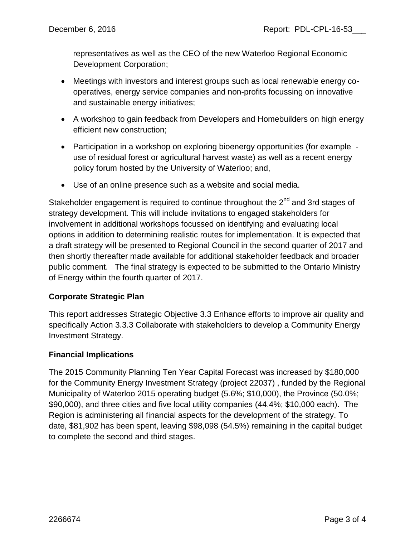representatives as well as the CEO of the new Waterloo Regional Economic Development Corporation;

- Meetings with investors and interest groups such as local renewable energy cooperatives, energy service companies and non-profits focussing on innovative and sustainable energy initiatives;
- A workshop to gain feedback from Developers and Homebuilders on high energy efficient new construction;
- Participation in a workshop on exploring bioenergy opportunities (for example use of residual forest or agricultural harvest waste) as well as a recent energy policy forum hosted by the University of Waterloo; and,
- Use of an online presence such as a website and social media.

Stakeholder engagement is required to continue throughout the  $2^{nd}$  and 3rd stages of strategy development. This will include invitations to engaged stakeholders for involvement in additional workshops focussed on identifying and evaluating local options in addition to determining realistic routes for implementation. It is expected that a draft strategy will be presented to Regional Council in the second quarter of 2017 and then shortly thereafter made available for additional stakeholder feedback and broader public comment. The final strategy is expected to be submitted to the Ontario Ministry of Energy within the fourth quarter of 2017.

### **Corporate Strategic Plan**

This report addresses Strategic Objective 3.3 Enhance efforts to improve air quality and specifically Action 3.3.3 Collaborate with stakeholders to develop a Community Energy Investment Strategy.

### **Financial Implications**

The 2015 Community Planning Ten Year Capital Forecast was increased by \$180,000 for the Community Energy Investment Strategy (project 22037) , funded by the Regional Municipality of Waterloo 2015 operating budget (5.6%; \$10,000), the Province (50.0%; \$90,000), and three cities and five local utility companies (44.4%; \$10,000 each). The Region is administering all financial aspects for the development of the strategy. To date, \$81,902 has been spent, leaving \$98,098 (54.5%) remaining in the capital budget to complete the second and third stages.